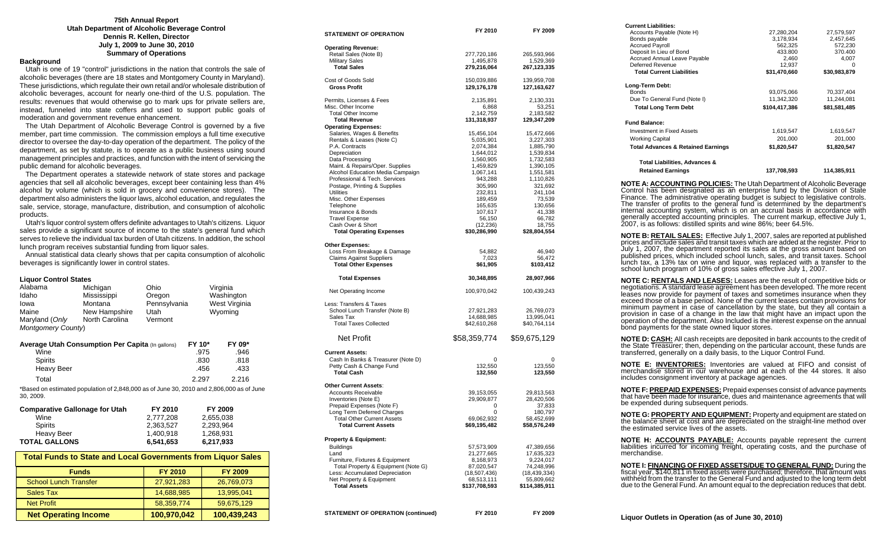#### **75th Annual Report Utah Department of Alcoholic Beverage Control Dennis R. Kellen, Director July 1, 2009 to June 30, 2010 Summary of Operations**

#### **Background**

 Utah is one of 19 "control" jurisdictions in the nation that controls the sale of alcoholic beverages (there are 18 states and Montgomery County in Maryland). These jurisdictions, which regulate their own retail and/or wholesale distribution of alcoholic beverages, account for nearly one-third of the U.S. population. The results: revenues that would otherwise go to mark ups for private sellers are, instead, funneled into state coffers and used to support public goals of moderation and government revenue enhancement.

 The Utah Department of Alcoholic Beverage Control is governed by a five member, part time commission. The commission employs a full time executive director to oversee the day-to-day operation of the department. The policy of the department, as set by statute, is to operate as a public business using sound management principles and practices, and function with the intent of servicing the public demand for alcoholic beverages.

 The Department operates a statewide network of state stores and package agencies that sell all alcoholic beverages, except beer containing less than 4% alcohol by volume (which is sold in grocery and convenience stores). The department also administers the liquor laws, alcohol education, and regulates the sale, service, storage, manufacture, distribution, and consumption of alcoholic products.

 Utah's liquor control system offers definite advantages to Utah's citizens. Liquor sales provide a significant source of income to the state's general fund which serves to relieve the individual tax burden of Utah citizens. In addition, the school lunch program receives substantial funding from liquor sales.

 Annual statistical data clearly shows that per capita consumption of alcoholic beverages is significantly lower in control states.

#### **Liquor Control States**

| Alabama                                                                                               | Michigan       | Ohio         |       | Virginia      |
|-------------------------------------------------------------------------------------------------------|----------------|--------------|-------|---------------|
| Idaho                                                                                                 | Mississippi    | Oregon       |       | Washington    |
| lowa                                                                                                  | Montana        | Pennsylvania |       | West Virginia |
| Maine                                                                                                 | New Hampshire  | Utah         |       | Wyoming       |
| Maryland (Only                                                                                        | North Carolina | Vermont      |       |               |
| Montgomery County)                                                                                    |                |              |       |               |
| FY 10*<br><b>Average Utah Consumption Per Capita (In gallons)</b><br>FY 09*                           |                |              |       |               |
| Wine                                                                                                  |                |              | .975  | .946          |
| Spirits                                                                                               |                |              | .830  | .818          |
| Heavy Beer                                                                                            |                |              | .456  | .433          |
| Total                                                                                                 |                |              | 2.297 | 2.216         |
| *Based on estimated population of 2,848,000 as of June 30, 2010 and 2,806,000 as of June<br>30, 2009. |                |              |       |               |
| <b>Comparative Gallonage for Utah</b>                                                                 |                | FY 2010      |       | FY 2009       |

| <b>TOTAL GALLONS</b> | 6.541.653 | 6,217,933 |
|----------------------|-----------|-----------|
| Heavy Beer           | 1.400.918 | 1.268.931 |
| <b>Spirits</b>       | 2.363.527 | 2.293.964 |
| Wine                 | 2.777.208 | 2.655.038 |
|                      |           |           |

| <b>Total Funds to State and Local Governments from Liquor Sales</b> |                |                |
|---------------------------------------------------------------------|----------------|----------------|
| <b>Funds</b>                                                        | <b>FY 2010</b> | <b>FY 2009</b> |
| <b>School Lunch Transfer</b>                                        | 27,921,283     | 26,769,073     |
| Sales Tax                                                           | 14,688,985     | 13,995,041     |
| <b>Net Profit</b>                                                   | 58,359,774     | 59,675,129     |
| <b>Net Operating Income</b>                                         | 100,970,042    | 100,439,243    |

| <b>STATEMENT OF OPERATION</b>                                       | FY 2010                     | FY 2009                     |
|---------------------------------------------------------------------|-----------------------------|-----------------------------|
| <b>Operating Revenue:</b>                                           |                             |                             |
| Retail Sales (Note B)                                               | 277,720,186                 | 265,593,966                 |
| <b>Military Sales</b>                                               | 1,495,878                   | 1,529,369                   |
| <b>Total Sales</b>                                                  | 279,216,064                 | 267, 123, 335               |
| Cost of Goods Sold                                                  | 150,039,886                 | 139,959,708                 |
| <b>Gross Profit</b>                                                 | 129,176,178                 | 127,163,627                 |
| Permits, Licenses & Fees                                            | 2,135,891                   | 2,130,331                   |
| Misc. Other Income                                                  | 6,868                       | 53,251                      |
| <b>Total Other Income</b>                                           | 2,142,759                   | 2,183,582                   |
| <b>Total Revenue</b><br><b>Operating Expenses:</b>                  | 131,318,937                 | 129,347,209                 |
| Salaries, Wages & Benefits                                          | 15,456,104                  | 15,472,666                  |
| Rentals & Leases (Note C)                                           | 5,035,901                   | 3,227,303                   |
| P.A. Contracts                                                      | 2,074,384                   | 1,885,790                   |
| Depreciation                                                        | 1,644,012                   | 1,539,834                   |
| Data Processing                                                     | 1,560,905                   | 1,732,583                   |
| Maint. & Repairs/Oper. Supplies<br>Alcohol Education Media Campaign | 1,459,829<br>1,067,141      | 1,390,105<br>1,551,581      |
| Professional & Tech. Services                                       | 943,288                     | 1,110,826                   |
| Postage, Printing & Supplies                                        | 305,990                     | 321,692                     |
| Utilities                                                           | 232,811                     | 241,104                     |
| Misc. Other Expenses                                                | 189,459                     | 73,539                      |
| Telephone                                                           | 165,635                     | 130,656                     |
| Insurance & Bonds                                                   | 107,617                     | 41,338                      |
| <b>Travel Expense</b><br>Cash Over & Short                          | 56,150<br>(12, 236)         | 66,782<br>18,755            |
| <b>Total Operating Expenses</b>                                     | \$30,286,990                | \$28,804,554                |
| <b>Other Expenses:</b>                                              |                             |                             |
| Loss From Breakage & Damage                                         | 54,882                      | 46,940                      |
| <b>Claims Against Suppliers</b>                                     | 7,023                       | 56,472                      |
| <b>Total Other Expenses</b>                                         | \$61,905                    | \$103,412                   |
| <b>Total Expenses</b>                                               | 30,348,895                  | 28,907,966                  |
| Net Operating Income                                                | 100,970,042                 | 100,439,243                 |
| Less: Transfers & Taxes                                             |                             |                             |
| School Lunch Transfer (Note B)                                      | 27,921,283                  | 26,769,073                  |
| Sales Tax                                                           | 14,688,985                  | 13,995,041                  |
| <b>Total Taxes Collected</b>                                        | \$42,610,268                | \$40,764,114                |
| <b>Net Profit</b>                                                   | \$58,359,774                | \$59,675,129                |
| <b>Current Assets:</b>                                              |                             |                             |
| Cash In Banks & Treasurer (Note D)                                  | 0                           | 0                           |
| Petty Cash & Change Fund<br><b>Total Cash</b>                       | 132,550<br>132,550          | 123,550<br>123,550          |
|                                                                     |                             |                             |
| <b>Other Current Assets:</b>                                        |                             |                             |
| <b>Accounts Receivable</b>                                          | 39,153,055                  | 29,813,563                  |
| Inventories (Note E)<br>Prepaid Expenses (Note F)                   | 29,909,877<br>0             | 28,420,506                  |
| Long Term Deferred Charges                                          | 0                           | 37,833<br>180,797           |
| <b>Total Other Current Assets</b>                                   | 69,062,932                  | 58,452,699                  |
| Total Current Assets                                                | \$69,195,482                | \$58,576,249                |
| <b>Property &amp; Equipment:</b>                                    |                             |                             |
| <b>Buildings</b>                                                    | 57,573,909                  | 47,389,656                  |
| Land                                                                | 21,277,665                  | 17,635,323                  |
| Furniture, Fixtures & Equipment                                     | 8,168,973                   | 9,224,017                   |
| Total Property & Equipment (Note G)                                 | 87.020.547                  | 74,248,996                  |
| Less: Accumulated Depreciation                                      | (18,507,436)                | (18, 439, 334)              |
| Net Property & Equipment<br><b>Total Assets</b>                     | 68,513,111<br>\$137,708,593 | 55,809,662<br>\$114,385,911 |
|                                                                     |                             |                             |
|                                                                     |                             |                             |

| <b>Current Liabilities:</b><br>Accounts Payable (Note H)                                                                                                                                                                                                                                                                                                                                                                                                                                                                                                                                                                                |                                                                                                                                                                                                                                                                                                   | 27,579,597                                                                   |
|-----------------------------------------------------------------------------------------------------------------------------------------------------------------------------------------------------------------------------------------------------------------------------------------------------------------------------------------------------------------------------------------------------------------------------------------------------------------------------------------------------------------------------------------------------------------------------------------------------------------------------------------|---------------------------------------------------------------------------------------------------------------------------------------------------------------------------------------------------------------------------------------------------------------------------------------------------|------------------------------------------------------------------------------|
| Bonds payable                                                                                                                                                                                                                                                                                                                                                                                                                                                                                                                                                                                                                           |                                                                                                                                                                                                                                                                                                   |                                                                              |
| <b>Accrued Payroll</b>                                                                                                                                                                                                                                                                                                                                                                                                                                                                                                                                                                                                                  |                                                                                                                                                                                                                                                                                                   |                                                                              |
| Deposit In Lieu of Bond<br>Accrued Annual Leave Payable                                                                                                                                                                                                                                                                                                                                                                                                                                                                                                                                                                                 |                                                                                                                                                                                                                                                                                                   |                                                                              |
| Deferred Revenue                                                                                                                                                                                                                                                                                                                                                                                                                                                                                                                                                                                                                        | $\begin{array}{c} 27,280,204 \\ 3,178,934 \\ 562,325 \\ 433.800 \\ 2,460 \\ 12,937 \\ \textbf{\$31,470,660 \qquad \qquad \$30,983,879} \end{array} \quad \begin{array}{c} 27,579,597 \\ 2,457,645 \\ 572,230 \\ 370.400 \\ 4,007 \\ \textbf{\$31,470,660 \qquad \qquad \$30,983,879} \end{array}$ |                                                                              |
| <b>Total Current Liabilities</b>                                                                                                                                                                                                                                                                                                                                                                                                                                                                                                                                                                                                        |                                                                                                                                                                                                                                                                                                   |                                                                              |
| Long-Term Debt:                                                                                                                                                                                                                                                                                                                                                                                                                                                                                                                                                                                                                         |                                                                                                                                                                                                                                                                                                   |                                                                              |
| Bonds<br>Due To General Fund (Note I)                                                                                                                                                                                                                                                                                                                                                                                                                                                                                                                                                                                                   | 93,075,066<br>11,342,320                                                                                                                                                                                                                                                                          | 70,337,404<br>11,244,081                                                     |
| <b>Total Long Term Debt</b>                                                                                                                                                                                                                                                                                                                                                                                                                                                                                                                                                                                                             | \$104,417,386 \$81,581,485                                                                                                                                                                                                                                                                        |                                                                              |
|                                                                                                                                                                                                                                                                                                                                                                                                                                                                                                                                                                                                                                         |                                                                                                                                                                                                                                                                                                   |                                                                              |
| <b>Fund Balance:</b><br><b>Investment in Fixed Assets</b>                                                                                                                                                                                                                                                                                                                                                                                                                                                                                                                                                                               | 1,619,547                                                                                                                                                                                                                                                                                         | 1,619,547                                                                    |
| <b>Working Capital</b>                                                                                                                                                                                                                                                                                                                                                                                                                                                                                                                                                                                                                  |                                                                                                                                                                                                                                                                                                   |                                                                              |
| <b>Total Advances &amp; Retained Earnings</b>                                                                                                                                                                                                                                                                                                                                                                                                                                                                                                                                                                                           | \$1,820,547                                                                                                                                                                                                                                                                                       | $\frac{1}{201,000}$<br>$\frac{201,000}{201,000}$<br>$\frac{51,820,547}{201}$ |
| Total Liabilities, Advances &                                                                                                                                                                                                                                                                                                                                                                                                                                                                                                                                                                                                           |                                                                                                                                                                                                                                                                                                   |                                                                              |
| <b>Retained Earnings</b>                                                                                                                                                                                                                                                                                                                                                                                                                                                                                                                                                                                                                | 137,708,593                                                                                                                                                                                                                                                                                       | 114,385,911                                                                  |
|                                                                                                                                                                                                                                                                                                                                                                                                                                                                                                                                                                                                                                         |                                                                                                                                                                                                                                                                                                   |                                                                              |
| NOTE A: ACCOUNTING POLICIES: The Utah Department of Alcoholic Beverage<br>Control has been designated as an enterprise fund by the Division of State<br>Finance. The administrative operating budget is subject to legislative controls.<br>The transfer of profits to the general fund is determined by the department's<br>internal accounting system, which is on an accrual basis in accordance with<br>generally accepted accounting principles. The current markup, effective July 1,<br>2007, is as follows: distilled spirits and wine 86%; beer 64.5%.                                                                         |                                                                                                                                                                                                                                                                                                   |                                                                              |
| <b>NOTE B: RETAIL SALES:</b> Effective July 1, 2007, sales are reported at published<br>prices and include sales and transit taxes which are added at the register. Prior to<br>July 1, 2007, the department reported its sales at the gross amount based on<br>published prices, which included school lunch, sales, and transit taxes. School<br>lunch tax, a 13% tax on wine and liquor, was replaced with a transfer to the<br>school lunch program of 10% of gross sales effective July 1, 2007.                                                                                                                                   |                                                                                                                                                                                                                                                                                                   |                                                                              |
| <b>NOTE C: RENTALS AND LEASES:</b> Leases are the result of competitive bids or<br>negotiations. A standard lease agreement has been developed. The more recent<br>leases now provide for payment of taxes and sometimes insurance when they<br>exceed those of a base period. None of the current leases contain provisions for<br>minimum payment in case of cancellation by the state, but they all contain a<br>provision in case of a change in the law that might have an impact upon the<br>operation of the department. Also Included is the interest expense on the annual<br>bond payments for the state owned liquor stores. |                                                                                                                                                                                                                                                                                                   |                                                                              |
| <b>NOTE D: CASH:</b> All cash receipts are deposited in bank accounts to the credit of<br>the State Treasurer; then, depending on the particular account, these funds are<br>transferred, generally on a daily basis, to the Liquor Control Fund.                                                                                                                                                                                                                                                                                                                                                                                       |                                                                                                                                                                                                                                                                                                   |                                                                              |
| <b>NOTE E: INVENTORIES:</b> Inventories are valued at FIFO and consist of<br>merchandise stored in our warehouse and at each of the 44 stores. It also<br>includes consignment inventory at package agencies.                                                                                                                                                                                                                                                                                                                                                                                                                           |                                                                                                                                                                                                                                                                                                   |                                                                              |
| <b>NOTE F: PREPAID EXPENSES:</b> Prepaid expenses consist of advance payments<br>that have been made for insurance, dues and maintenance agreements that will<br>be expended during subsequent periods.                                                                                                                                                                                                                                                                                                                                                                                                                                 |                                                                                                                                                                                                                                                                                                   |                                                                              |
| NOTE G: PROPERTY AND EQUIPMENT: Property and equipment are stated on<br>the balance sheet at cost and are depreciated on the straight-line method over<br>the estimated service lives of the assets.                                                                                                                                                                                                                                                                                                                                                                                                                                    |                                                                                                                                                                                                                                                                                                   |                                                                              |
| NOTE H: ACCOUNTS PAYABLE: Accounts payable represent the current<br>liabilities incurred for incoming freight, operating costs, and the purchase of<br>merchandise.                                                                                                                                                                                                                                                                                                                                                                                                                                                                     |                                                                                                                                                                                                                                                                                                   |                                                                              |
| NOTE I: FINANCING OF FIXED ASSETS/DUE TO GENERAL FUND: During the<br>fiscal year, \$140,811 in fixed assets were purchased; therefore, that amount was<br>withheld from the transfer to the General Fund and adjusted to the long term debt<br>due to the General Fund. An amount equal to the depreciation reduces that debt.                                                                                                                                                                                                                                                                                                          |                                                                                                                                                                                                                                                                                                   |                                                                              |

STATEMENT OF OPERATION (continued) FY 2010 FY 2009